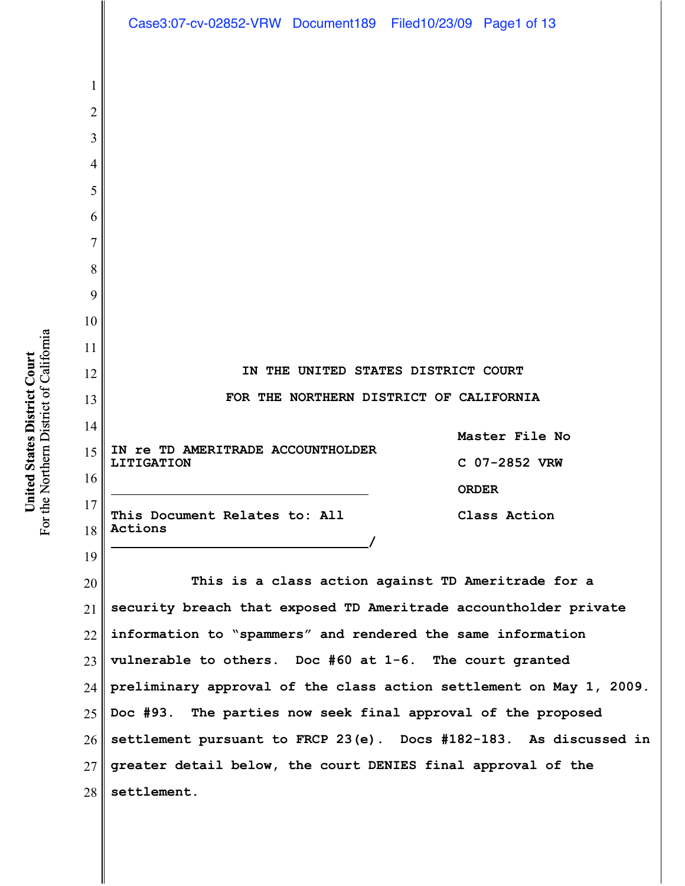|          | Case3:07-cv-02852-VRW Document189 Filed10/23/09 Page1 of 13                 |
|----------|-----------------------------------------------------------------------------|
|          |                                                                             |
| 1        |                                                                             |
| 2        |                                                                             |
| 3        |                                                                             |
| 4        |                                                                             |
| 5        |                                                                             |
| 6        |                                                                             |
| 7        |                                                                             |
| 8        |                                                                             |
| 9<br>10  |                                                                             |
| 11       |                                                                             |
| 12       | IN THE UNITED STATES DISTRICT COURT                                         |
| 13       | FOR THE NORTHERN DISTRICT OF CALIFORNIA                                     |
| 14       |                                                                             |
| 15       | Master File No<br>IN TE TD AMERITRADE ACCOUNTHOLDER                         |
| 16       | C 07-2852 VRW<br><b>LITIGATION</b><br><b>ORDER</b>                          |
| 17       | This Document Relates to: All<br>Class Action                               |
| 18       | Actions                                                                     |
| 19       |                                                                             |
| 20       | This is a class action against TD Ameritrade for a                          |
| 21       | security breach that exposed TD Ameritrade accountholder private            |
| 22       | information to "spammers" and rendered the same information                 |
| 23       | vulnerable to others. Doc $#60$ at $1-6$ . The court granted                |
| 24       | preliminary approval of the class action settlement on May 1, 2009.         |
| 25       | The parties now seek final approval of the proposed<br>Doc #93.             |
| 26       | settlement pursuant to FRCP 23(e). Docs #182-183. As discussed in           |
| 27<br>28 | greater detail below, the court DENIES final approval of the<br>settlement. |

United States District Court<br>For the Northern District of California For the Northern District of California **United States District Court**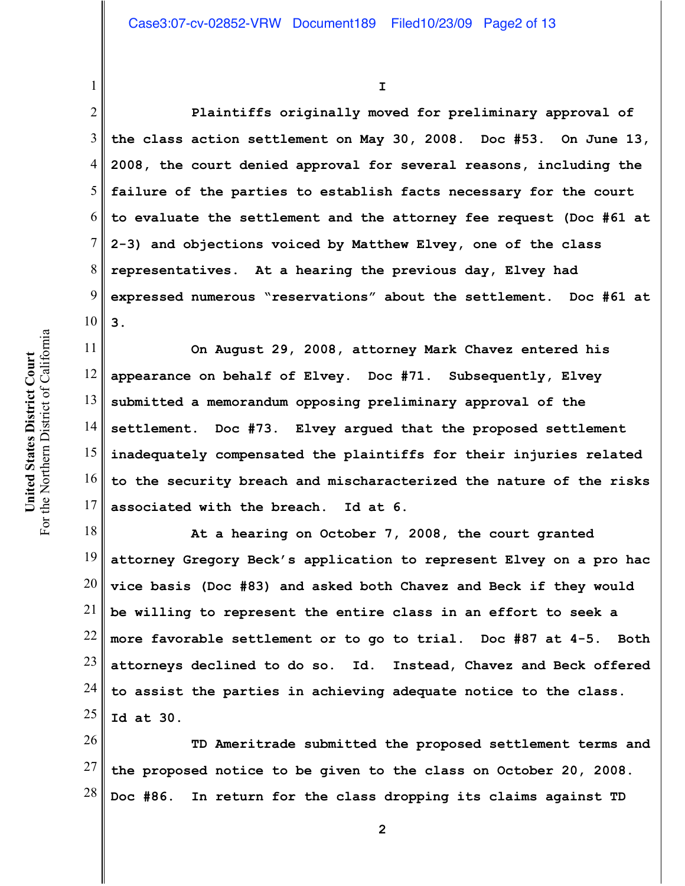**I**

2 3 4 5 6 7 8 9 10 **Plaintiffs originally moved for preliminary approval of the class action settlement on May 30, 2008. Doc #53. On June 13, 2008, the court denied approval for several reasons, including the failure of the parties to establish facts necessary for the court to evaluate the settlement and the attorney fee request (Doc #61 at 2-3) and objections voiced by Matthew Elvey, one of the class representatives. At a hearing the previous day, Elvey had expressed numerous "reservations" about the settlement. Doc #61 at 3.**

11 12 13 14 15 16 17 **On August 29, 2008, attorney Mark Chavez entered his appearance on behalf of Elvey. Doc #71. Subsequently, Elvey submitted a memorandum opposing preliminary approval of the settlement. Doc #73. Elvey argued that the proposed settlement inadequately compensated the plaintiffs for their injuries related to the security breach and mischaracterized the nature of the risks associated with the breach. Id at 6.**

18 19 20 21 22 23 24 25 **At a hearing on October 7, 2008, the court granted attorney Gregory Beck's application to represent Elvey on a pro hac vice basis (Doc #83) and asked both Chavez and Beck if they would be willing to represent the entire class in an effort to seek a more favorable settlement or to go to trial. Doc #87 at 4-5. Both attorneys declined to do so. Id. Instead, Chavez and Beck offered to assist the parties in achieving adequate notice to the class. Id at 30.**

26 27 28 **TD Ameritrade submitted the proposed settlement terms and the proposed notice to be given to the class on October 20, 2008. Doc #86. In return for the class dropping its claims against TD**

1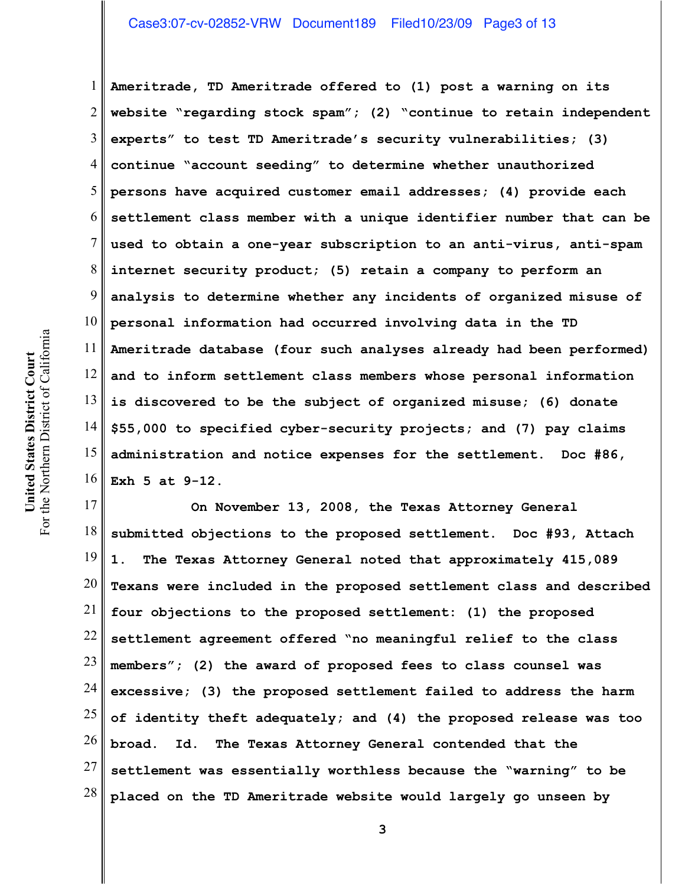# Case3:07-cv-02852-VRW Document189 Filed10/23/09 Page3 of 13

1 2 3 4 5 6 7 8 9 10 11 12 13 14 15 16 **Ameritrade, TD Ameritrade offered to (1) post a warning on its website "regarding stock spam"; (2) "continue to retain independent experts" to test TD Ameritrade's security vulnerabilities; (3) continue "account seeding" to determine whether unauthorized persons have acquired customer email addresses; (4) provide each settlement class member with a unique identifier number that can be used to obtain a one-year subscription to an anti-virus, anti-spam internet security product; (5) retain a company to perform an analysis to determine whether any incidents of organized misuse of personal information had occurred involving data in the TD Ameritrade database (four such analyses already had been performed) and to inform settlement class members whose personal information is discovered to be the subject of organized misuse; (6) donate \$55,000 to specified cyber-security projects; and (7) pay claims administration and notice expenses for the settlement. Doc #86, Exh 5 at 9-12.** 

17 18 19 20 21 22 23 24 25 26 27 28 **On November 13, 2008, the Texas Attorney General submitted objections to the proposed settlement. Doc #93, Attach 1. The Texas Attorney General noted that approximately 415,089 Texans were included in the proposed settlement class and described four objections to the proposed settlement: (1) the proposed settlement agreement offered "no meaningful relief to the class members"; (2) the award of proposed fees to class counsel was excessive; (3) the proposed settlement failed to address the harm of identity theft adequately; and (4) the proposed release was too broad. Id. The Texas Attorney General contended that the settlement was essentially worthless because the "warning" to be placed on the TD Ameritrade website would largely go unseen by**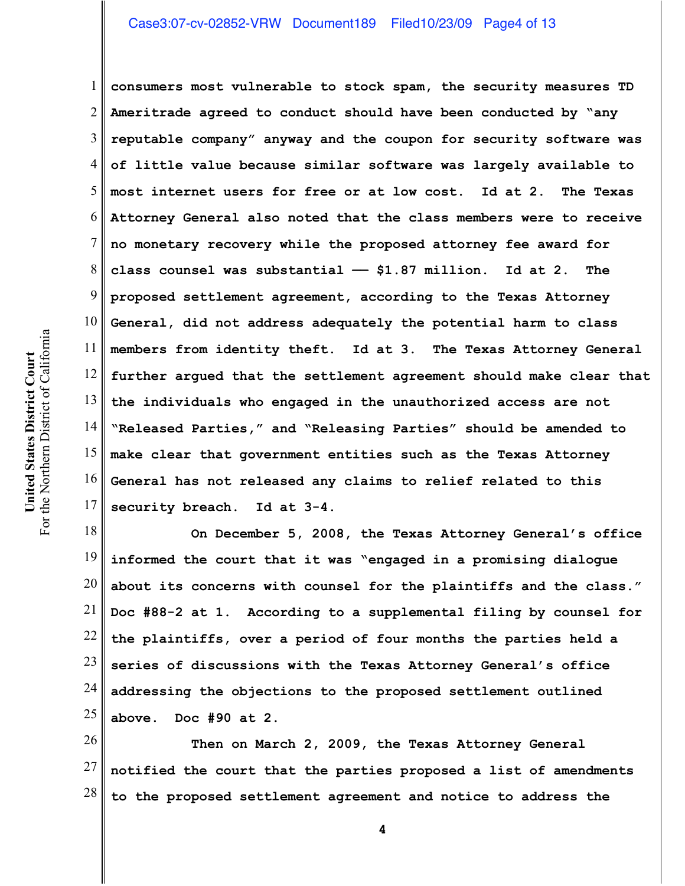# Case3:07-cv-02852-VRW Document189 Filed10/23/09 Page4 of 13

1 2 3 4 5 6 7 8 9 10 11 12 13 14 15 16 17 **consumers most vulnerable to stock spam, the security measures TD Ameritrade agreed to conduct should have been conducted by "any reputable company" anyway and the coupon for security software was of little value because similar software was largely available to most internet users for free or at low cost. Id at 2. The Texas Attorney General also noted that the class members were to receive no monetary recovery while the proposed attorney fee award for class counsel was substantial —— \$1.87 million. Id at 2. The proposed settlement agreement, according to the Texas Attorney General, did not address adequately the potential harm to class members from identity theft. Id at 3. The Texas Attorney General further argued that the settlement agreement should make clear that the individuals who engaged in the unauthorized access are not "Released Parties," and "Releasing Parties" should be amended to make clear that government entities such as the Texas Attorney General has not released any claims to relief related to this security breach. Id at 3-4.**

18 19 20 21 22 23 24 25 **On December 5, 2008, the Texas Attorney General's office informed the court that it was "engaged in a promising dialogue about its concerns with counsel for the plaintiffs and the class." Doc #88-2 at 1. According to a supplemental filing by counsel for the plaintiffs, over a period of four months the parties held a series of discussions with the Texas Attorney General's office addressing the objections to the proposed settlement outlined above. Doc #90 at 2.**

26 27 28 **Then on March 2, 2009, the Texas Attorney General notified the court that the parties proposed a list of amendments to the proposed settlement agreement and notice to address the**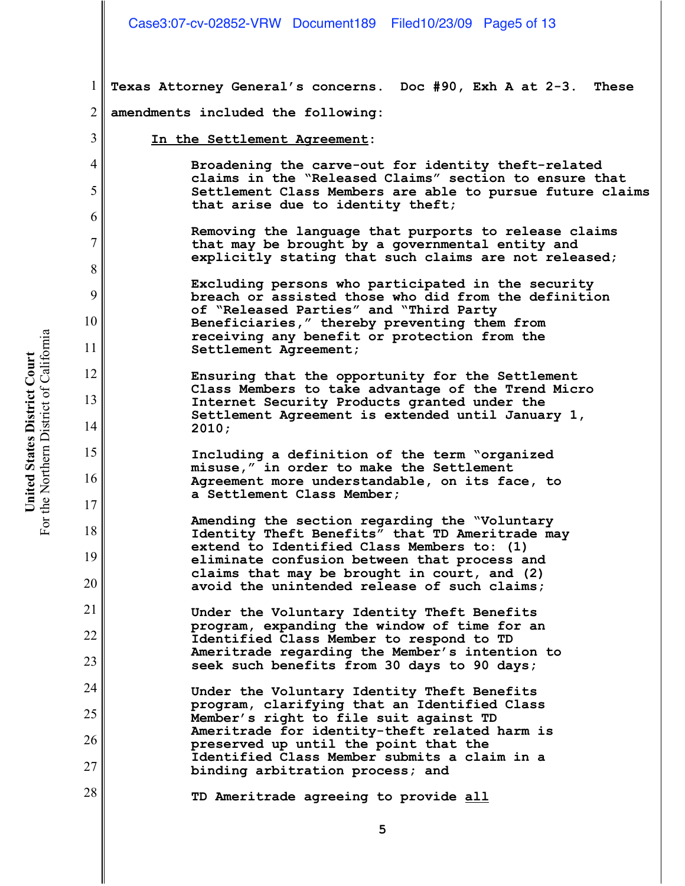1 2 **Texas Attorney General's concerns. Doc #90, Exh A at 2-3. These amendments included the following:**

**In the Settlement Agreement:**

**Broadening the carve-out for identity theft-related claims in the "Released Claims" section to ensure that Settlement Class Members are able to pursue future claims that arise due to identity theft;**

**Removing the language that purports to release claims that may be brought by a governmental entity and explicitly stating that such claims are not released;**

**Excluding persons who participated in the security breach or assisted those who did from the definition of "Released Parties" and "Third Party Beneficiaries," thereby preventing them from receiving any benefit or protection from the Settlement Agreement;**

**Ensuring that the opportunity for the Settlement Class Members to take advantage of the Trend Micro Internet Security Products granted under the Settlement Agreement is extended until January 1, 2010;**

**Including a definition of the term "organized misuse," in order to make the Settlement Agreement more understandable, on its face, to a Settlement Class Member;**

**Amending the section regarding the "Voluntary Identity Theft Benefits" that TD Ameritrade may extend to Identified Class Members to: (1) eliminate confusion between that process and claims that may be brought in court, and (2) avoid the unintended release of such claims;**

**Under the Voluntary Identity Theft Benefits program, expanding the window of time for an Identified Class Member to respond to TD Ameritrade regarding the Member's intention to seek such benefits from 30 days to 90 days;**

**Under the Voluntary Identity Theft Benefits program, clarifying that an Identified Class Member's right to file suit against TD Ameritrade for identity-theft related harm is preserved up until the point that the Identified Class Member submits a claim in a binding arbitration process; and**

**TD Ameritrade agreeing to provide all**

3

4

5

6

7

8

9

10

11

12

13

14

15

16

17

18

19

20

21

22

23

24

25

26

27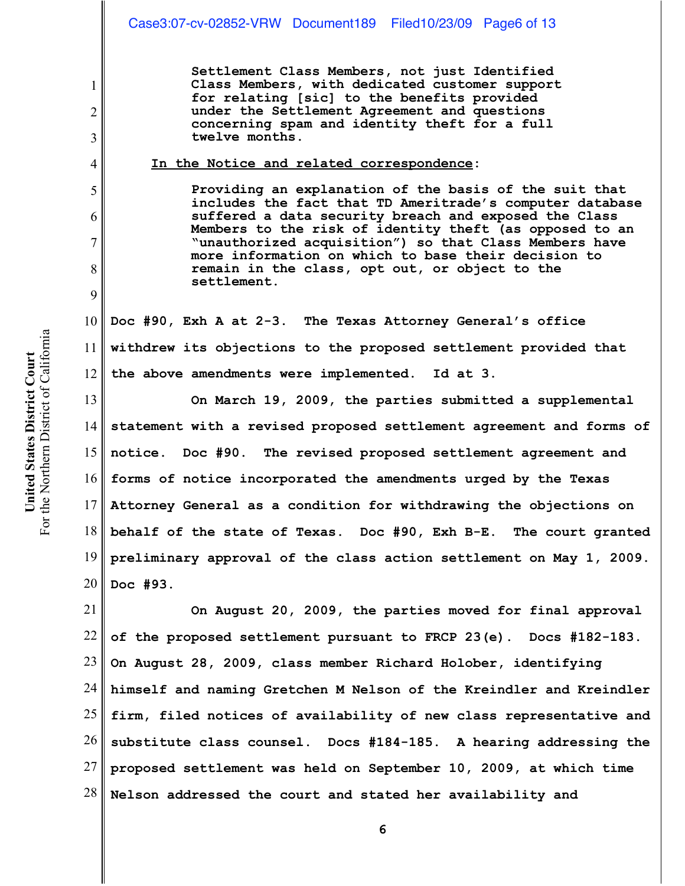**Settlement Class Members, not just Identified Class Members, with dedicated customer support for relating [sic] to the benefits provided under the Settlement Agreement and questions concerning spam and identity theft for a full twelve months.**

## **In the Notice and related correspondence:**

**Providing an explanation of the basis of the suit that includes the fact that TD Ameritrade's computer database suffered a data security breach and exposed the Class Members to the risk of identity theft (as opposed to an "unauthorized acquisition") so that Class Members have more information on which to base their decision to remain in the class, opt out, or object to the settlement.** 

10 11 12 **Doc #90, Exh A at 2-3. The Texas Attorney General's office withdrew its objections to the proposed settlement provided that the above amendments were implemented. Id at 3.**

13 14 15 16 17 18 19 20 **On March 19, 2009, the parties submitted a supplemental statement with a revised proposed settlement agreement and forms of notice. Doc #90. The revised proposed settlement agreement and forms of notice incorporated the amendments urged by the Texas Attorney General as a condition for withdrawing the objections on behalf of the state of Texas. Doc #90, Exh B-E. The court granted preliminary approval of the class action settlement on May 1, 2009. Doc #93.** 

21 22 23 24 25 26 27 28 **On August 20, 2009, the parties moved for final approval of the proposed settlement pursuant to FRCP 23(e). Docs #182-183. On August 28, 2009, class member Richard Holober, identifying himself and naming Gretchen M Nelson of the Kreindler and Kreindler firm, filed notices of availability of new class representative and substitute class counsel. Docs #184-185. A hearing addressing the proposed settlement was held on September 10, 2009, at which time Nelson addressed the court and stated her availability and**

1

2

3

4

5

6

7

8

9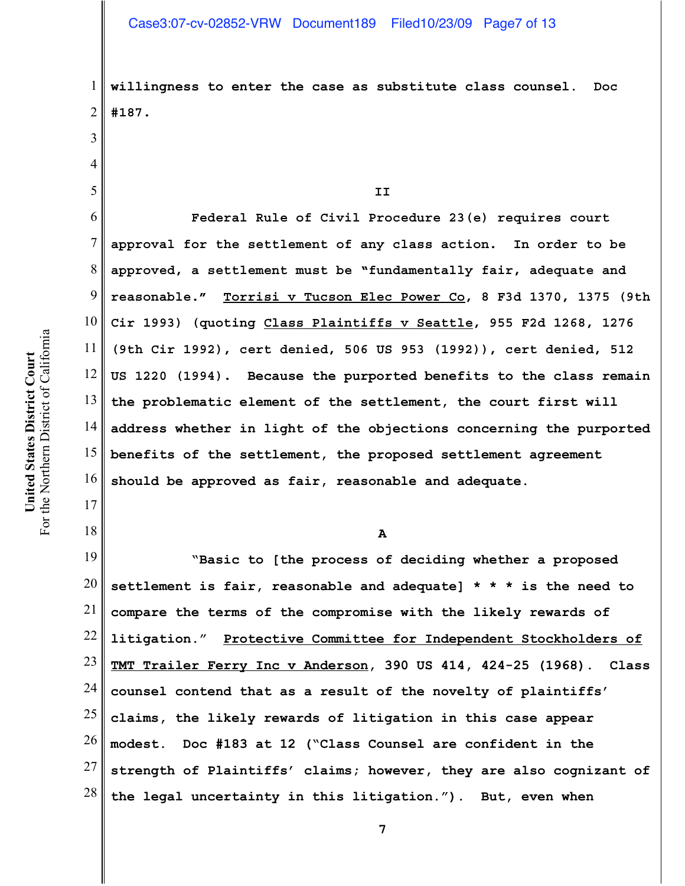**willingness to enter the case as substitute class counsel. Doc #187.**

**II**

6 7 8 9 10 11 12 13 14 15 16 **Federal Rule of Civil Procedure 23(e) requires court approval for the settlement of any class action. In order to be approved, a settlement must be "fundamentally fair, adequate and reasonable." Torrisi v Tucson Elec Power Co, 8 F3d 1370, 1375 (9th Cir 1993) (quoting Class Plaintiffs v Seattle, 955 F2d 1268, 1276 (9th Cir 1992), cert denied, 506 US 953 (1992)), cert denied, 512 US 1220 (1994). Because the purported benefits to the class remain the problematic element of the settlement, the court first will address whether in light of the objections concerning the purported benefits of the settlement, the proposed settlement agreement should be approved as fair, reasonable and adequate.**

**A**

19 20 21 22 23 24 25 26 27 28 **"Basic to [the process of deciding whether a proposed settlement is fair, reasonable and adequate] \* \* \* is the need to compare the terms of the compromise with the likely rewards of litigation." Protective Committee for Independent Stockholders of TMT Trailer Ferry Inc v Anderson, 390 US 414, 424-25 (1968). Class counsel contend that as a result of the novelty of plaintiffs' claims, the likely rewards of litigation in this case appear modest. Doc #183 at 12 ("Class Counsel are confident in the strength of Plaintiffs' claims; however, they are also cognizant of the legal uncertainty in this litigation."). But, even when**

**7**

1

2

3

4

5

17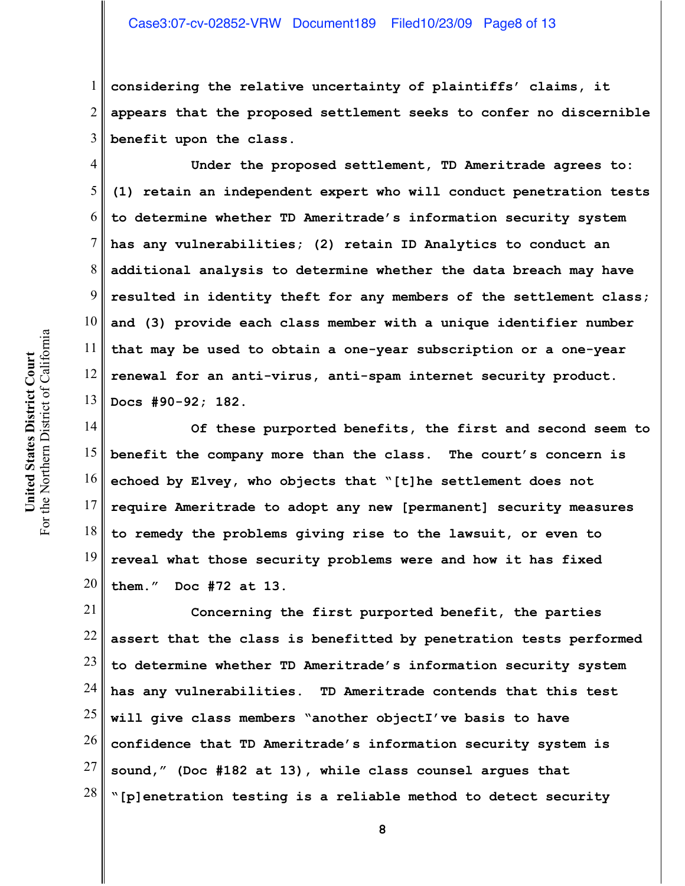# Case3:07-cv-02852-VRW Document189 Filed10/23/09 Page8 of 13

1 2 3 **considering the relative uncertainty of plaintiffs' claims, it appears that the proposed settlement seeks to confer no discernible benefit upon the class.**

4 5 6 7 8 9 10 11 12 13 **Under the proposed settlement, TD Ameritrade agrees to: (1) retain an independent expert who will conduct penetration tests to determine whether TD Ameritrade's information security system has any vulnerabilities; (2) retain ID Analytics to conduct an additional analysis to determine whether the data breach may have resulted in identity theft for any members of the settlement class; and (3) provide each class member with a unique identifier number that may be used to obtain a one-year subscription or a one-year renewal for an anti-virus, anti-spam internet security product. Docs #90-92; 182.** 

14 15 16 17 18 19 20 **Of these purported benefits, the first and second seem to benefit the company more than the class. The court's concern is echoed by Elvey, who objects that "[t]he settlement does not require Ameritrade to adopt any new [permanent] security measures to remedy the problems giving rise to the lawsuit, or even to reveal what those security problems were and how it has fixed them." Doc #72 at 13.** 

21 22 23 24 25 26 27 28 **Concerning the first purported benefit, the parties assert that the class is benefitted by penetration tests performed to determine whether TD Ameritrade's information security system has any vulnerabilities. TD Ameritrade contends that this test will give class members "another objectI've basis to have confidence that TD Ameritrade's information security system is sound," (Doc #182 at 13), while class counsel argues that "[p]enetration testing is a reliable method to detect security**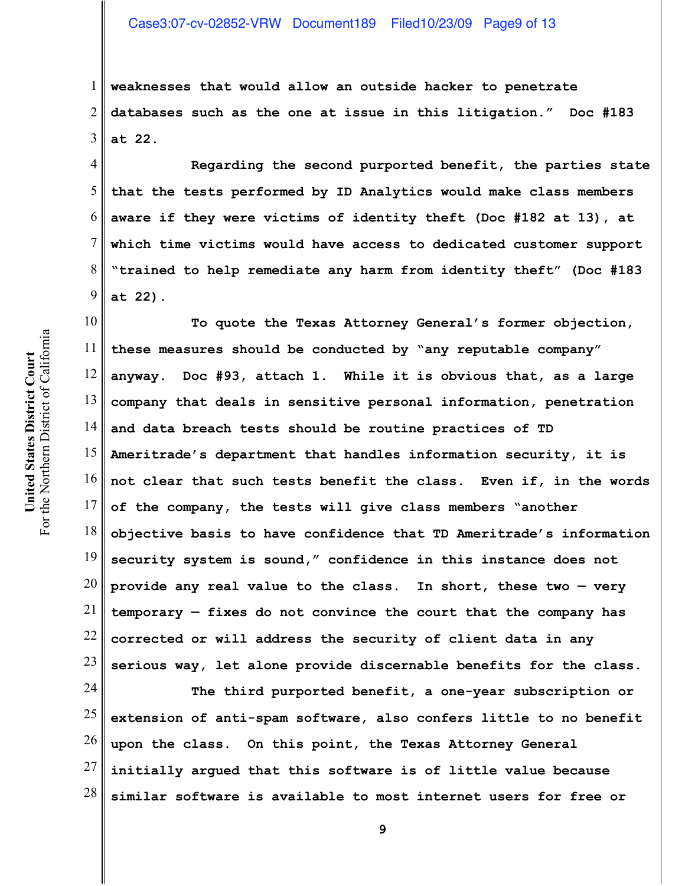1 2 3 **weaknesses that would allow an outside hacker to penetrate databases such as the one at issue in this litigation." Doc #183 at 22.** 

4 6 **Regarding the second purported benefit, the parties state that the tests performed by ID Analytics would make class members aware if they were victims of identity theft (Doc #182 at 13), at which time victims would have access to dedicated customer support "trained to help remediate any harm from identity theft" (Doc #183 at 22).** 

10 11 12 13 14 15 16 17 18 19 20 21 22 23 **To quote the Texas Attorney General's former objection, these measures should be conducted by "any reputable company" anyway. Doc #93, attach 1. While it is obvious that, as a large company that deals in sensitive personal information, penetration and data breach tests should be routine practices of TD Ameritrade's department that handles information security, it is not clear that such tests benefit the class. Even if, in the words of the company, the tests will give class members "another objective basis to have confidence that TD Ameritrade's information security system is sound," confidence in this instance does not provide any real value to the class. In short, these two — very temporary — fixes do not convince the court that the company has corrected or will address the security of client data in any serious way, let alone provide discernable benefits for the class.** 

24 25 26 27 28 **The third purported benefit, a one-year subscription or extension of anti-spam software, also confers little to no benefit upon the class. On this point, the Texas Attorney General initially argued that this software is of little value because similar software is available to most internet users for free or**

5

7

8

9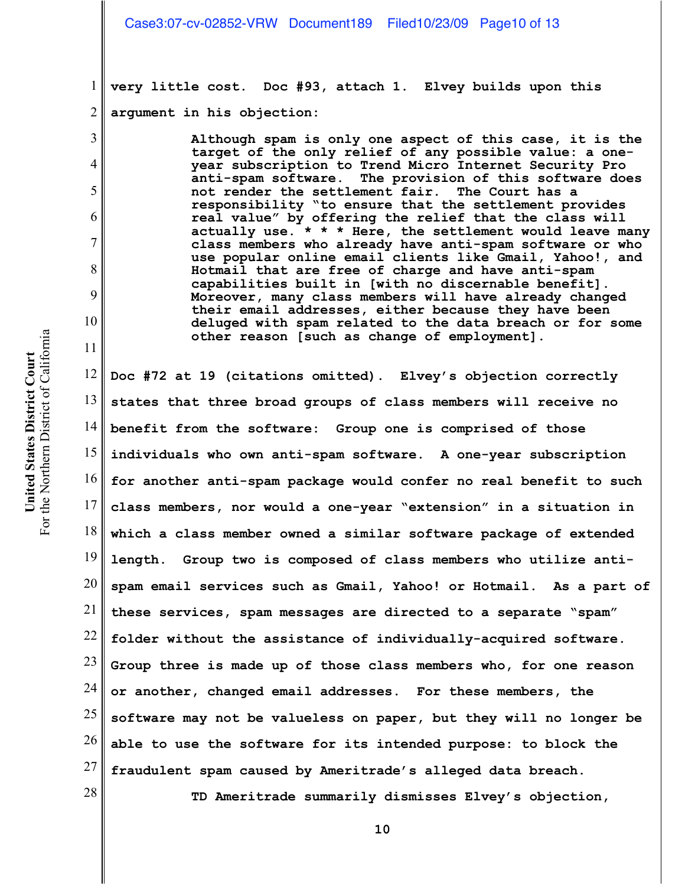1 2 **very little cost. Doc #93, attach 1. Elvey builds upon this argument in his objection:**

> **Although spam is only one aspect of this case, it is the target of the only relief of any possible value: a oneyear subscription to Trend Micro Internet Security Pro anti-spam software. The provision of this software does not render the settlement fair. The Court has a responsibility "to ensure that the settlement provides real value" by offering the relief that the class will actually use. \* \* \* Here, the settlement would leave many class members who already have anti-spam software or who use popular online email clients like Gmail, Yahoo!, and Hotmail that are free of charge and have anti-spam capabilities built in [with no discernable benefit]. Moreover, many class members will have already changed their email addresses, either because they have been deluged with spam related to the data breach or for some other reason [such as change of employment].**

12 13 14 15 16 17 18 19 20 21 22 23 24 25 26 27 28 **Doc #72 at 19 (citations omitted). Elvey's objection correctly states that three broad groups of class members will receive no benefit from the software: Group one is comprised of those individuals who own anti-spam software. A one-year subscription for another anti-spam package would confer no real benefit to such class members, nor would a one-year "extension" in a situation in which a class member owned a similar software package of extended length. Group two is composed of class members who utilize antispam email services such as Gmail, Yahoo! or Hotmail. As a part of these services, spam messages are directed to a separate "spam" folder without the assistance of individually-acquired software. Group three is made up of those class members who, for one reason or another, changed email addresses. For these members, the software may not be valueless on paper, but they will no longer be able to use the software for its intended purpose: to block the fraudulent spam caused by Ameritrade's alleged data breach. TD Ameritrade summarily dismisses Elvey's objection,**

3

4

5

6

7

8

9

10

11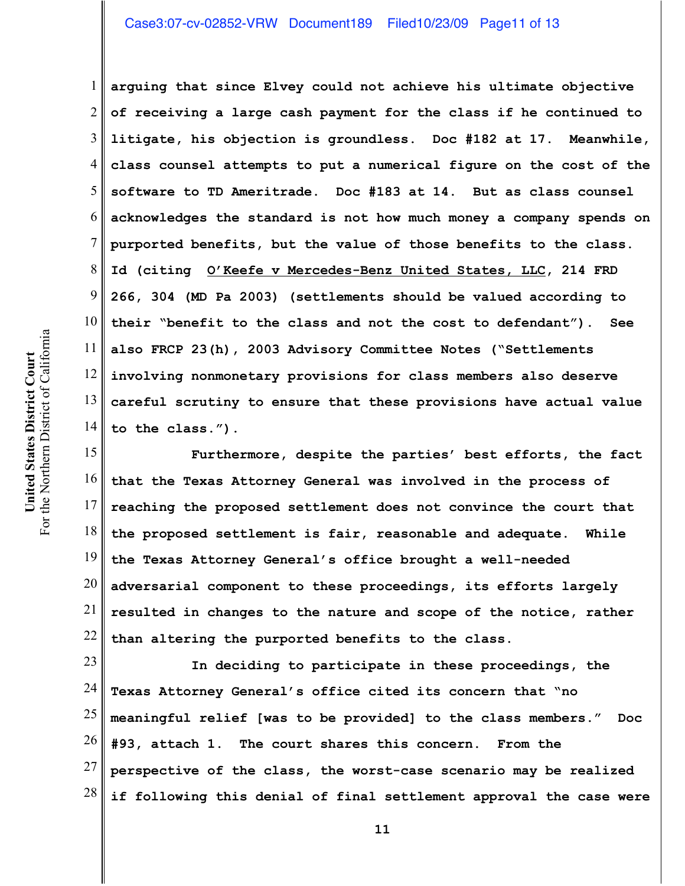# Case3:07-cv-02852-VRW Document189 Filed10/23/09 Page11 of 13

1 2 3 4 5 6 7 8 9 10 11 12 13 14 **arguing that since Elvey could not achieve his ultimate objective of receiving a large cash payment for the class if he continued to litigate, his objection is groundless. Doc #182 at 17. Meanwhile, class counsel attempts to put a numerical figure on the cost of the software to TD Ameritrade. Doc #183 at 14. But as class counsel acknowledges the standard is not how much money a company spends on purported benefits, but the value of those benefits to the class. Id (citing O'Keefe v Mercedes-Benz United States, LLC, 214 FRD 266, 304 (MD Pa 2003) (settlements should be valued according to their "benefit to the class and not the cost to defendant"). See also FRCP 23(h), 2003 Advisory Committee Notes ("Settlements involving nonmonetary provisions for class members also deserve careful scrutiny to ensure that these provisions have actual value to the class.").** 

15 16 17 18 19 20 21 22 **Furthermore, despite the parties' best efforts, the fact that the Texas Attorney General was involved in the process of reaching the proposed settlement does not convince the court that the proposed settlement is fair, reasonable and adequate. While the Texas Attorney General's office brought a well-needed adversarial component to these proceedings, its efforts largely resulted in changes to the nature and scope of the notice, rather than altering the purported benefits to the class.** 

23 24 25 26 27 28 **In deciding to participate in these proceedings, the Texas Attorney General's office cited its concern that "no meaningful relief [was to be provided] to the class members." Doc #93, attach 1. The court shares this concern. From the perspective of the class, the worst-case scenario may be realized if following this denial of final settlement approval the case were**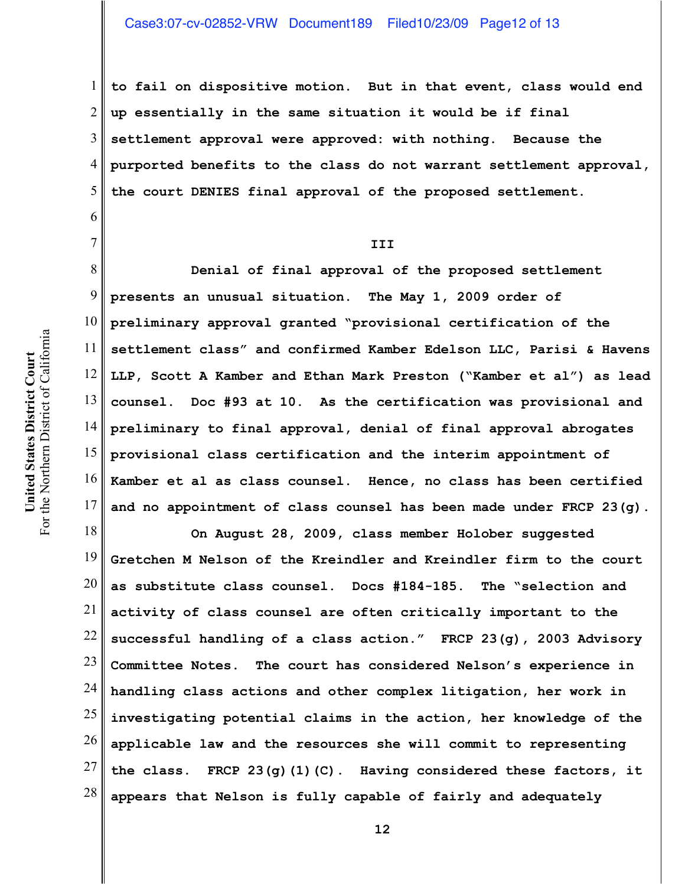1 2 3 4 5 **to fail on dispositive motion. But in that event, class would end up essentially in the same situation it would be if final settlement approval were approved: with nothing. Because the purported benefits to the class do not warrant settlement approval, the court DENIES final approval of the proposed settlement.**

**III**

8 9 10 11 12 13 14 15 16 17 **Denial of final approval of the proposed settlement presents an unusual situation. The May 1, 2009 order of preliminary approval granted "provisional certification of the settlement class" and confirmed Kamber Edelson LLC, Parisi & Havens LLP, Scott A Kamber and Ethan Mark Preston ("Kamber et al") as lead counsel. Doc #93 at 10. As the certification was provisional and preliminary to final approval, denial of final approval abrogates provisional class certification and the interim appointment of Kamber et al as class counsel. Hence, no class has been certified and no appointment of class counsel has been made under FRCP 23(g).**

18 19 20 21 22 23 24 25 26 27 28 **On August 28, 2009, class member Holober suggested Gretchen M Nelson of the Kreindler and Kreindler firm to the court as substitute class counsel. Docs #184-185. The "selection and activity of class counsel are often critically important to the successful handling of a class action." FRCP 23(g), 2003 Advisory Committee Notes. The court has considered Nelson's experience in handling class actions and other complex litigation, her work in investigating potential claims in the action, her knowledge of the applicable law and the resources she will commit to representing the class. FRCP 23(g)(1)(C). Having considered these factors, it appears that Nelson is fully capable of fairly and adequately**

6

7